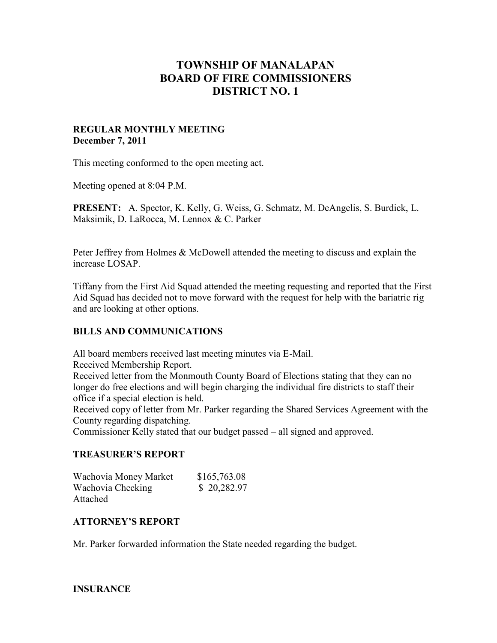# **TOWNSHIP OF MANALAPAN BOARD OF FIRE COMMISSIONERS DISTRICT NO. 1**

## **REGULAR MONTHLY MEETING December 7, 2011**

This meeting conformed to the open meeting act.

Meeting opened at 8:04 P.M.

**PRESENT:** A. Spector, K. Kelly, G. Weiss, G. Schmatz, M. DeAngelis, S. Burdick, L. Maksimik, D. LaRocca, M. Lennox & C. Parker

Peter Jeffrey from Holmes & McDowell attended the meeting to discuss and explain the increase LOSAP.

Tiffany from the First Aid Squad attended the meeting requesting and reported that the First Aid Squad has decided not to move forward with the request for help with the bariatric rig and are looking at other options.

# **BILLS AND COMMUNICATIONS**

All board members received last meeting minutes via E-Mail.

Received Membership Report.

Received letter from the Monmouth County Board of Elections stating that they can no longer do free elections and will begin charging the individual fire districts to staff their office if a special election is held.

Received copy of letter from Mr. Parker regarding the Shared Services Agreement with the County regarding dispatching.

Commissioner Kelly stated that our budget passed – all signed and approved.

# **TREASURER'S REPORT**

| Wachovia Money Market | \$165,763.08 |
|-----------------------|--------------|
| Wachovia Checking     | \$20,282.97  |
| Attached              |              |

# **ATTORNEY'S REPORT**

Mr. Parker forwarded information the State needed regarding the budget.

# **INSURANCE**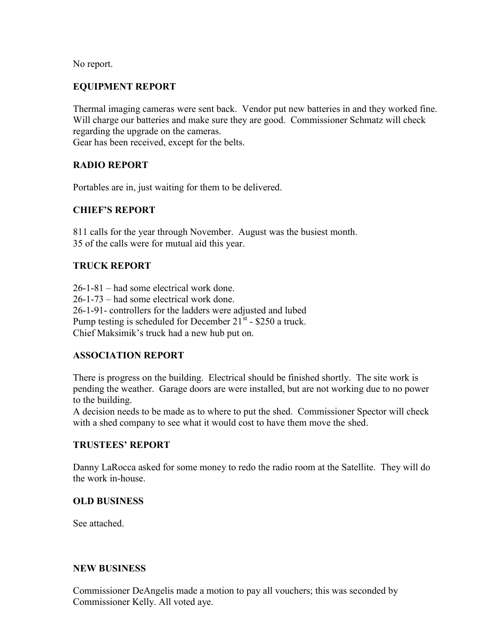No report.

# **EQUIPMENT REPORT**

Thermal imaging cameras were sent back. Vendor put new batteries in and they worked fine. Will charge our batteries and make sure they are good. Commissioner Schmatz will check regarding the upgrade on the cameras. Gear has been received, except for the belts.

## **RADIO REPORT**

Portables are in, just waiting for them to be delivered.

# **CHIEF'S REPORT**

811 calls for the year through November. August was the busiest month. 35 of the calls were for mutual aid this year.

# **TRUCK REPORT**

26-1-81 – had some electrical work done. 26-1-73 – had some electrical work done. 26-1-91- controllers for the ladders were adjusted and lubed Pump testing is scheduled for December  $21^{st}$  - \$250 a truck. Chief Maksimik's truck had a new hub put on.

## **ASSOCIATION REPORT**

There is progress on the building. Electrical should be finished shortly. The site work is pending the weather. Garage doors are were installed, but are not working due to no power to the building.

A decision needs to be made as to where to put the shed. Commissioner Spector will check with a shed company to see what it would cost to have them move the shed.

## **TRUSTEES' REPORT**

Danny LaRocca asked for some money to redo the radio room at the Satellite. They will do the work in-house.

## **OLD BUSINESS**

See attached.

## **NEW BUSINESS**

Commissioner DeAngelis made a motion to pay all vouchers; this was seconded by Commissioner Kelly. All voted aye.